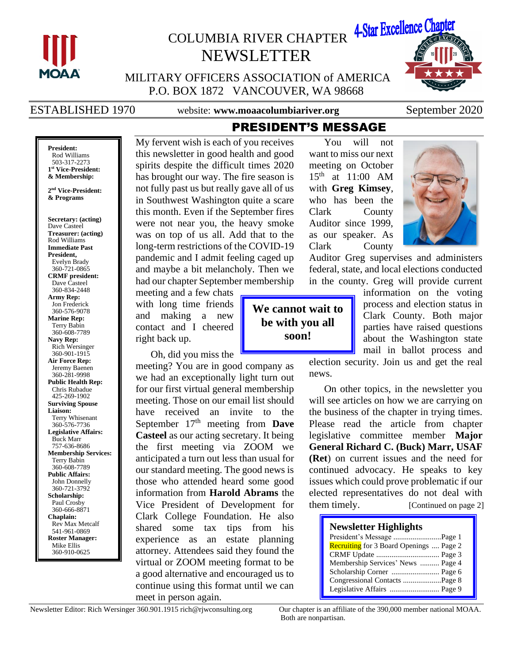

# COLUMBIA RIVER CHAPTER 4-Star Excellence Chapter NEWSLETTER



MILITARY OFFICERS ASSOCIATION of AMERICA P.O. BOX 1872 VANCOUVER, WA 98668

ESTABLISHED 1970 website: www.moaacolumbiariver.org September 2020

**President:** Rod Williams 503-317-2273 **1 st Vice-President: & Membership:**

**2 nd Vice-President: & Programs**

**Secretary: (acting)** Dave Casteel **Treasurer: (acting)** Rod Williams **Immediate Past President,**  Evelyn Brady 360-721-0865 **CRMF president:** Dave Casteel 360-834-2448 **Army Rep:** Jon Frederick 360-576-9078 **Marine Rep:** Terry Babin 360-608-7789 **Navy Rep:** Rich Wersinger 360-901-1915 **Air Force Rep:** Jeremy Baenen 360-281-9998 **Public Health Rep:** Chris Rubadue 425-269-1902 **Surviving Spouse Liaison:** Terry Whisenant 360-576-7736 **Legislative Affairs:** Buck Marr 757-636-8686 **Membership Services:** Terry Babin 360-608-7789 **Public Affairs:** John Donnelly 360-721-3792 **Scholarship:** Paul Crosby 360-666-8871 **Chaplain:** Rev Max Metcalf 541-961-0869 **Roster Manager:** Mike Ellis 360-910-0625

My fervent wish is each of you receives this newsletter in good health and good spirits despite the difficult times 2020 has brought our way. The fire season is not fully past us but really gave all of us in Southwest Washington quite a scare this month. Even if the September fires were not near you, the heavy smoke was on top of us all. Add that to the long-term restrictions of the COVID-19 pandemic and I admit feeling caged up and maybe a bit melancholy. Then we had our chapter September membership

meeting and a few chats with long time friends and making a new contact and I cheered right back up.

Oh, did you miss the

meeting? You are in good company as we had an exceptionally light turn out for our first virtual general membership meeting. Those on our email list should have received an invite to the September 17<sup>th</sup> meeting from **Dave Casteel** as our acting secretary. It being the first meeting via ZOOM we anticipated a turn out less than usual for our standard meeting. The good news is those who attended heard some good information from **Harold Abrams** the Vice President of Development for Clark College Foundation. He also shared some tax tips from his experience as an estate planning attorney. Attendees said they found the virtual or ZOOM meeting format to be a good alternative and encouraged us to continue using this format until we can meet in person again.

You will not want to miss our next meeting on October 15th at 11:00 AM with **Greg Kimsey**, who has been the Clark County Auditor since 1999, as our speaker. As Clark County



Auditor Greg supervises and administers federal, state, and local elections conducted in the county. Greg will provide current

**We cannot wait to be with you all soon!**

PRESIDENT'S MESSAGE

information on the voting process and election status in Clark County. Both major parties have raised questions about the Washington state mail in ballot process and

election security. Join us and get the real news.

On other topics, in the newsletter you will see articles on how we are carrying on the business of the chapter in trying times. Please read the article from chapter legislative committee member **Major General Richard C. (Buck) Marr, USAF (Ret**) on current issues and the need for continued advocacy. He speaks to key issues which could prove problematic if our elected representatives do not deal with them timely. [Continued on page 2]

#### **Newsletter Highlights**

| President's Message Page 1                     |  |
|------------------------------------------------|--|
| <b>Recruiting</b> for 3 Board Openings  Page 2 |  |
|                                                |  |
| Membership Services' News  Page 4              |  |
|                                                |  |
| Congressional Contacts Page 8                  |  |
|                                                |  |

Both are nonpartisan.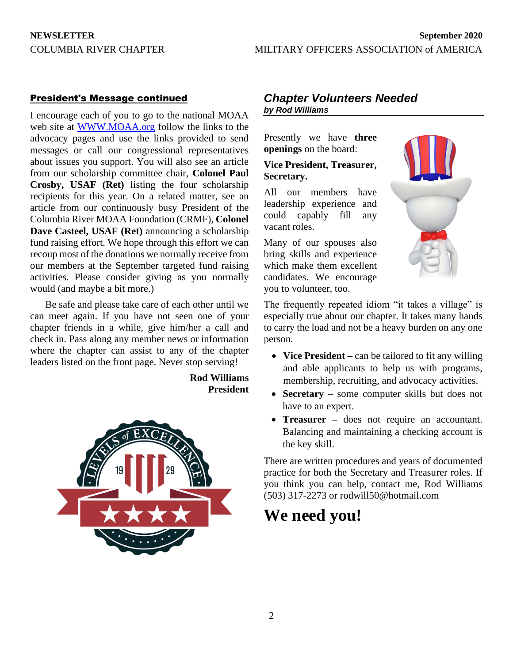#### President's Message continued

I encourage each of you to go to the national MOAA web site at [WWW.MOAA.org](http://www.moaa.org/) follow the links to the advocacy pages and use the links provided to send messages or call our congressional representatives about issues you support. You will also see an article from our scholarship committee chair, **Colonel Paul Crosby, USAF (Ret)** listing the four scholarship recipients for this year. On a related matter, see an article from our continuously busy President of the Columbia River MOAA Foundation (CRMF), **Colonel Dave Casteel, USAF (Ret)** announcing a scholarship fund raising effort. We hope through this effort we can recoup most of the donations we normally receive from our members at the September targeted fund raising activities. Please consider giving as you normally would (and maybe a bit more.)

Be safe and please take care of each other until we can meet again. If you have not seen one of your chapter friends in a while, give him/her a call and check in. Pass along any member news or information where the chapter can assist to any of the chapter leaders listed on the front page. Never stop serving!

> **Rod Williams President**



### *Chapter Volunteers Needed by Rod Williams*

Presently we have **three openings** on the board:

#### **Vice President, Treasurer, Secretary.**

All our members have leadership experience and could capably fill any vacant roles.

Many of our spouses also bring skills and experience which make them excellent candidates. We encourage you to volunteer, too.



The frequently repeated idiom "it takes a village" is especially true about our chapter. It takes many hands to carry the load and not be a heavy burden on any one person.

- **Vice President** can be tailored to fit any willing and able applicants to help us with programs, membership, recruiting, and advocacy activities.
- **Secretary** some computer skills but does not have to an expert.
- **Treasurer –** does not require an accountant. Balancing and maintaining a checking account is the key skill.

There are written procedures and years of documented practice for both the Secretary and Treasurer roles. If you think you can help, contact me, Rod Williams (503) 317-2273 or rodwill50@hotmail.com

## **We need you!**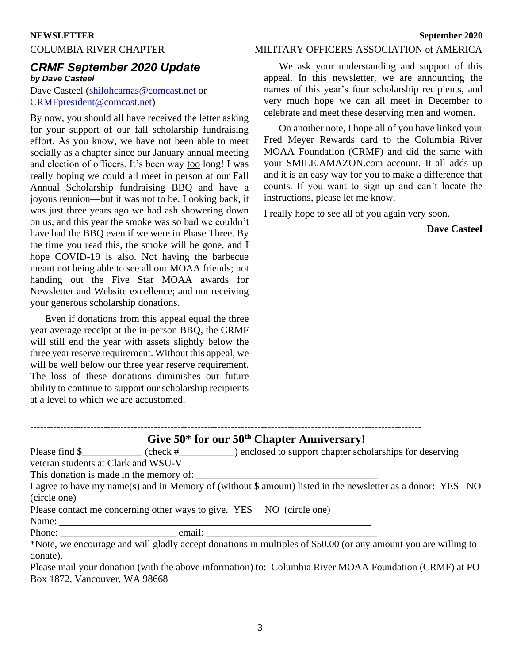#### COLUMBIA RIVER CHAPTER MILITARY OFFICERS ASSOCIATION of AMERICA

### *CRMF September 2020 Update by Dave Casteel*

Dave Casteel [\(shilohcamas@comcast.net](mailto:shilohcamas@comcast.net) or [CRMFpresident@comcast.net\)](mailto:CRMFpresident@comcast.net)

By now, you should all have received the letter asking for your support of our fall scholarship fundraising effort. As you know, we have not been able to meet socially as a chapter since our January annual meeting and election of officers. It's been way too long! I was really hoping we could all meet in person at our Fall Annual Scholarship fundraising BBQ and have a joyous reunion—but it was not to be. Looking back, it was just three years ago we had ash showering down on us, and this year the smoke was so bad we couldn't have had the BBQ even if we were in Phase Three. By the time you read this, the smoke will be gone, and I hope COVID-19 is also. Not having the barbecue meant not being able to see all our MOAA friends; not handing out the Five Star MOAA awards for Newsletter and Website excellence; and not receiving your generous scholarship donations.

Even if donations from this appeal equal the three year average receipt at the in-person BBQ, the CRMF will still end the year with assets slightly below the three year reserve requirement. Without this appeal, we will be well below our three year reserve requirement. The loss of these donations diminishes our future ability to continue to support our scholarship recipients at a level to which we are accustomed.

We ask your understanding and support of this appeal. In this newsletter, we are announcing the names of this year's four scholarship recipients, and very much hope we can all meet in December to celebrate and meet these deserving men and women.

On another note, I hope all of you have linked your Fred Meyer Rewards card to the Columbia River MOAA Foundation (CRMF) and did the same with your SMILE.AMAZON.com account. It all adds up and it is an easy way for you to make a difference that counts. If you want to sign up and can't locate the instructions, please let me know.

I really hope to see all of you again very soon.

**Dave Casteel**

|                                                                                                                | Give 50* for our 50 <sup>th</sup> Chapter Anniversary!                                                                                                                                                                                                  |
|----------------------------------------------------------------------------------------------------------------|---------------------------------------------------------------------------------------------------------------------------------------------------------------------------------------------------------------------------------------------------------|
| veteran students at Clark and WSU-V                                                                            | Please find $\frac{1}{2}$ (check $\frac{1}{2}$ methods in explored to support chapter scholarships for deserving                                                                                                                                        |
| (circle one)<br>Please contact me concerning other ways to give. YES NO (circle one)                           | I agree to have my name(s) and in Memory of (without \$ amount) listed in the newsletter as a donor: YES NO                                                                                                                                             |
| Name: 2008. 2008. 2010. 2010. 2010. 2010. 2010. 2010. 2010. 2010. 2010. 2010. 2010. 2010. 2010. 2010. 2010. 20 |                                                                                                                                                                                                                                                         |
| donate).                                                                                                       | *Note, we encourage and will gladly accept donations in multiples of \$50.00 (or any amount you are willing to<br>$D_{0.989}$ mail vour donation (with the above information) to: Columbia $\overline{D}$ iver MOAA Foundation (CDME) at $\overline{D}$ |

Please mail your donation (with the above information) to: Columbia River MOAA Foundation (CRMF) at PO Box 1872, Vancouver, WA 98668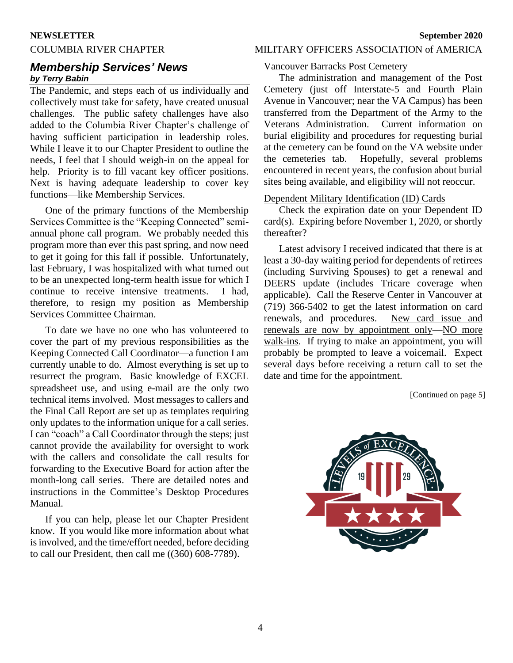#### COLUMBIA RIVER CHAPTER MILITARY OFFICERS ASSOCIATION of AMERICA

#### *Membership Services' News by Terry Babin*

The Pandemic, and steps each of us individually and collectively must take for safety, have created unusual challenges. The public safety challenges have also added to the Columbia River Chapter's challenge of having sufficient participation in leadership roles. While I leave it to our Chapter President to outline the needs, I feel that I should weigh-in on the appeal for help. Priority is to fill vacant key officer positions. Next is having adequate leadership to cover key functions—like Membership Services.

One of the primary functions of the Membership Services Committee is the "Keeping Connected" semiannual phone call program. We probably needed this program more than ever this past spring, and now need to get it going for this fall if possible. Unfortunately, last February, I was hospitalized with what turned out to be an unexpected long-term health issue for which I continue to receive intensive treatments. I had, therefore, to resign my position as Membership Services Committee Chairman.

To date we have no one who has volunteered to cover the part of my previous responsibilities as the Keeping Connected Call Coordinator—a function I am currently unable to do. Almost everything is set up to resurrect the program. Basic knowledge of EXCEL spreadsheet use, and using e-mail are the only two technical items involved. Most messages to callers and the Final Call Report are set up as templates requiring only updates to the information unique for a call series. I can "coach" a Call Coordinator through the steps; just cannot provide the availability for oversight to work with the callers and consolidate the call results for forwarding to the Executive Board for action after the month-long call series. There are detailed notes and instructions in the Committee's Desktop Procedures Manual.

If you can help, please let our Chapter President know. If you would like more information about what is involved, and the time/effort needed, before deciding to call our President, then call me ((360) 608-7789).

#### Vancouver Barracks Post Cemetery

The administration and management of the Post Cemetery (just off Interstate-5 and Fourth Plain Avenue in Vancouver; near the VA Campus) has been transferred from the Department of the Army to the Veterans Administration. Current information on burial eligibility and procedures for requesting burial at the cemetery can be found on the VA website under the cemeteries tab. Hopefully, several problems encountered in recent years, the confusion about burial sites being available, and eligibility will not reoccur.

### Dependent Military Identification (ID) Cards

Check the expiration date on your Dependent ID card(s). Expiring before November 1, 2020, or shortly thereafter?

Latest advisory I received indicated that there is at least a 30-day waiting period for dependents of retirees (including Surviving Spouses) to get a renewal and DEERS update (includes Tricare coverage when applicable). Call the Reserve Center in Vancouver at (719) 366-5402 to get the latest information on card renewals, and procedures. New card issue and renewals are now by appointment only—NO more walk-ins. If trying to make an appointment, you will probably be prompted to leave a voicemail. Expect several days before receiving a return call to set the date and time for the appointment.

[Continued on page 5]

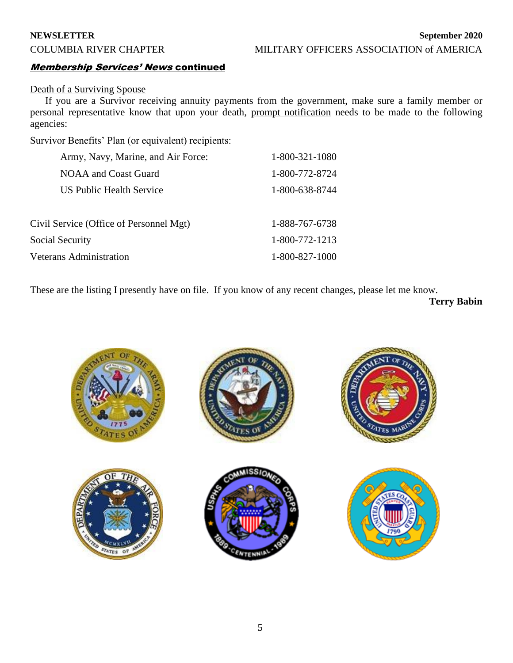#### Membership Services' News continued

#### Death of a Surviving Spouse

If you are a Survivor receiving annuity payments from the government, make sure a family member or personal representative know that upon your death, prompt notification needs to be made to the following agencies:

Survivor Benefits' Plan (or equivalent) recipients:

| Army, Navy, Marine, and Air Force:      | 1-800-321-1080 |
|-----------------------------------------|----------------|
| NOAA and Coast Guard                    | 1-800-772-8724 |
| <b>US Public Health Service</b>         | 1-800-638-8744 |
|                                         |                |
| Civil Service (Office of Personnel Mgt) | 1-888-767-6738 |
| <b>Social Security</b>                  | 1-800-772-1213 |
| <b>Veterans Administration</b>          |                |

These are the listing I presently have on file. If you know of any recent changes, please let me know.

**Terry Babin**

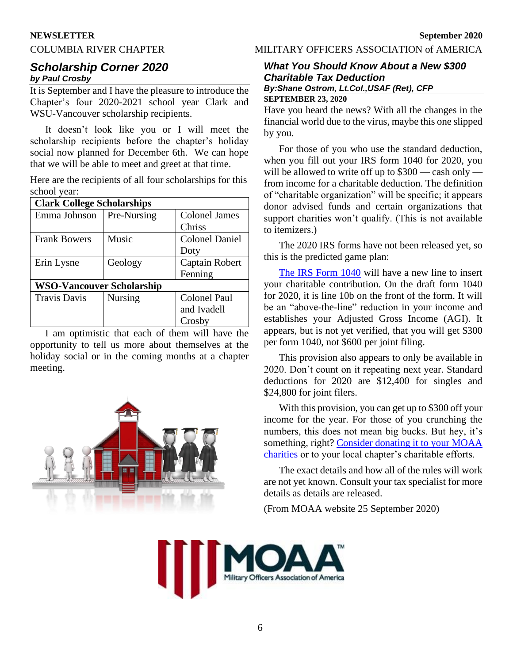#### COLUMBIA RIVER CHAPTER MILITARY OFFICERS ASSOCIATION of AMERICA

#### *Scholarship Corner 2020 by Paul Crosby*

It is September and I have the pleasure to introduce the Chapter's four 2020-2021 school year Clark and WSU-Vancouver scholarship recipients.

It doesn't look like you or I will meet the scholarship recipients before the chapter's holiday social now planned for December 6th. We can hope that we will be able to meet and greet at that time.

Here are the recipients of all four scholarships for this school year:

| <b>Clark College Scholarships</b> |             |                       |
|-----------------------------------|-------------|-----------------------|
| Emma Johnson                      | Pre-Nursing | <b>Colonel James</b>  |
|                                   |             | <b>Chriss</b>         |
| <b>Frank Bowers</b>               | Music       | <b>Colonel Daniel</b> |
|                                   |             | Doty                  |
| Erin Lysne                        | Geology     | Captain Robert        |
|                                   |             | Fenning               |
| <b>WSO-Vancouver Scholarship</b>  |             |                       |
| <b>Travis Davis</b>               | Nursing     | Colonel Paul          |
|                                   |             | and Ivadell           |
|                                   |             | Crosby                |

I am optimistic that each of them will have the opportunity to tell us more about themselves at the holiday social or in the coming months at a chapter meeting.



#### *What You Should Know About a New \$300 Charitable Tax Deduction By:Shane Ostrom, Lt.Col.,USAF (Ret), CFP*

#### **SEPTEMBER 23, 2020**

Have you heard the news? With all the changes in the financial world due to the virus, maybe this one slipped by you.

For those of you who use the standard deduction, when you fill out your IRS form 1040 for 2020, you will be allowed to write off up to \$300 — cash only from income for a charitable deduction. The definition of "charitable organization" will be specific; it appears donor advised funds and certain organizations that support charities won't qualify. (This is not available to itemizers.)

The 2020 IRS forms have not been released yet, so this is the predicted game plan:

[The IRS Form 1040](https://www.irs.gov/pub/irs-dft/f1040--dft.pdf) will have a new line to insert your charitable contribution. On the draft form 1040 for 2020, it is line 10b on the front of the form. It will be an "above-the-line" reduction in your income and establishes your Adjusted Gross Income (AGI). It appears, but is not yet verified, that you will get \$300 per form 1040, not \$600 per joint filing.

This provision also appears to only be available in 2020. Don't count on it repeating next year. Standard deductions for 2020 are \$12,400 for singles and \$24,800 for joint filers.

With this provision, you can get up to \$300 off your income for the year. For those of you crunching the numbers, this does not mean big bucks. But hey, it's something, right? [Consider donating it to your MOAA](https://www.moaa.org/content/forms/donate-now/)  [charities](https://www.moaa.org/content/forms/donate-now/) or to your local chapter's charitable efforts.

The exact details and how all of the rules will work are not yet known. Consult your tax specialist for more details as details are released.

(From MOAA website 25 September 2020)

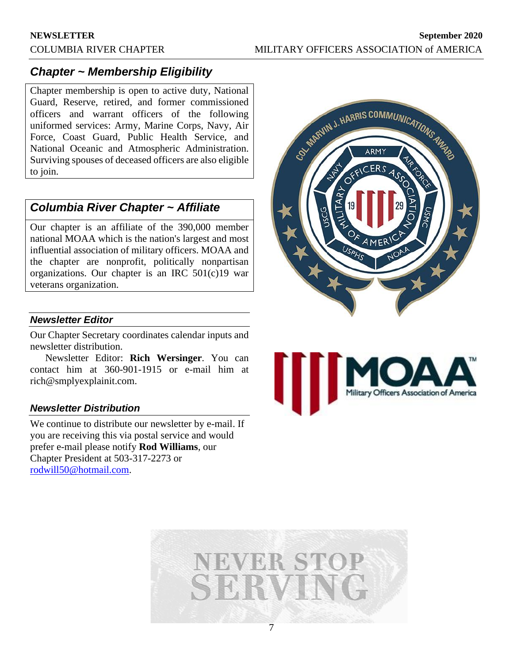## *Chapter ~ Membership Eligibility*

Chapter membership is open to active duty, National Guard, Reserve, retired, and former commissioned officers and warrant officers of the following uniformed services: Army, Marine Corps, Navy, Air Force, Coast Guard, Public Health Service, and National Oceanic and Atmospheric Administration. Surviving spouses of deceased officers are also eligible to join.

### *Columbia River Chapter ~ Affiliate*

Our chapter is an affiliate of the 390,000 member national MOAA which is the nation's largest and most influential association of military officers. MOAA and the chapter are nonprofit, politically nonpartisan organizations. Our chapter is an IRC 501(c)19 war veterans organization.

#### *Newsletter Editor*

Our Chapter Secretary coordinates calendar inputs and newsletter distribution.

Newsletter Editor: **Rich Wersinger**. You can contact him at 360-901-1915 or e-mail him at rich@smplyexplainit.com.

#### *Newsletter Distribution*

We continue to distribute our newsletter by e-mail. If you are receiving this via postal service and would prefer e-mail please notify **Rod Williams**, our Chapter President at 503-317-2273 or [rodwill50@hotmail.com.](mailto:rodwill50@hotmail.com)





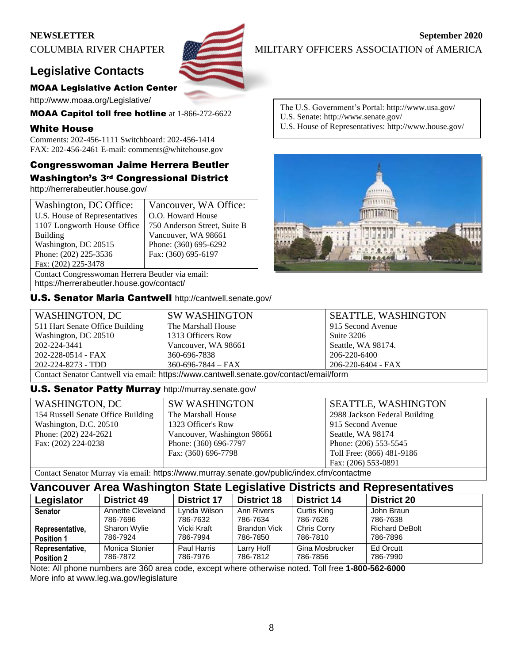

## **Legislative Contacts**

#### MOAA Legislative Action Center

http://www.moaa.org/Legislative/

MOAA Capitol toll free hotline at 1-866-272-6622

#### White House

**Position 2**

Comments: 202-456-1111 Switchboard: 202-456-1414 FAX: 202-456-2461 E-mail: comments@whitehouse.gov

### Congresswoman Jaime Herrera Beutler Washington's 3rd Congressional District

http://herrerabeutler.house.gov/

| Washington, DC Office:                           | Vancouver, WA Office:        |  |
|--------------------------------------------------|------------------------------|--|
| U.S. House of Representatives                    | O.O. Howard House            |  |
| 1107 Longworth House Office                      | 750 Anderson Street, Suite B |  |
| <b>Building</b>                                  | Vancouver, WA 98661          |  |
| Washington, DC 20515                             | Phone: (360) 695-6292        |  |
| Phone: (202) 225-3536                            | Fax: (360) 695-6197          |  |
| Fax: (202) 225-3478                              |                              |  |
| Contact Congresswoman Herrera Beutler via email: |                              |  |

https://herrerabeutler.house.gov/contact/

U.S. Senator Maria Cantwell http://cantwell.senate.gov/

The U.S. Government's Portal: http://www.usa.gov/ U.S. Senate: http://www.senate.gov/

U.S. House of Representatives: http://www.house.gov/



| WASHINGTON, DC                                                                         | <b>SW WASHINGTON</b>     | <b>SEATTLE, WASHINGTON</b> |
|----------------------------------------------------------------------------------------|--------------------------|----------------------------|
| 511 Hart Senate Office Building                                                        | The Marshall House       | 915 Second Avenue          |
| Washington, DC 20510                                                                   | 1313 Officers Row        | Suite 3206                 |
| 202-224-3441                                                                           | Vancouver, WA 98661      | Seattle, WA 98174.         |
| 202-228-0514 - FAX                                                                     | 360-696-7838             | 206-220-6400               |
| 202-224-8273 - TDD                                                                     | $360 - 696 - 7844 - FAX$ | 206-220-6404 - FAX         |
| Contact Senator Cantwell via email: https://www.cantwell.senate.gov/contact/email/form |                          |                            |

#### U.S. Senator Patty Murray http://murray.senate.gov/

786-7872

| WASHINGTON, DC                     | <b>SW WASHINGTON</b>        | <b>SEATTLE, WASHINGTON</b>    |
|------------------------------------|-----------------------------|-------------------------------|
| 154 Russell Senate Office Building | The Marshall House          | 2988 Jackson Federal Building |
| Washington, D.C. 20510             | 1323 Officer's Row          | 915 Second Avenue             |
| Phone: $(202)$ 224-2621            | Vancouver, Washington 98661 | Seattle, WA 98174             |
| Fax: (202) 224-0238                | Phone: (360) 696-7797       | Phone: (206) 553-5545         |
|                                    | Fax: (360) 696-7798         | Toll Free: (866) 481-9186     |
|                                    |                             | Fax: (206) 553-0891           |

Contact Senator Murray via email: https://www.murray.senate.gov/public/index.cfm/contactme

786-7976

#### **Vancouver Area Washington State Legislative Districts and Representatives Legislator District 49 District 17 District 18 District 14 District 20 Senator** Annette Cleveland 786-7696 Lynda Wilson 786-7632 Ann Rivers 786-7634 Curtis King 786-7626 John Braun 786-7638 **Representative, Position 1** Sharon Wylie 786-7924 Vicki Kraft 786-7994 Brandon Vick 786-7850 Chris Corry 786-7810 Richard DeBolt 786-7896 **Representative,**  Monica Stonier Paul Harris Larry Hoff Gina Mosbrucker Ed Orcutt

786-7812

Note: All phone numbers are 360 area code, except where otherwise noted. Toll free **1-800-562-6000** More info at www.leg.wa.gov/legislature

786-7856

786-7990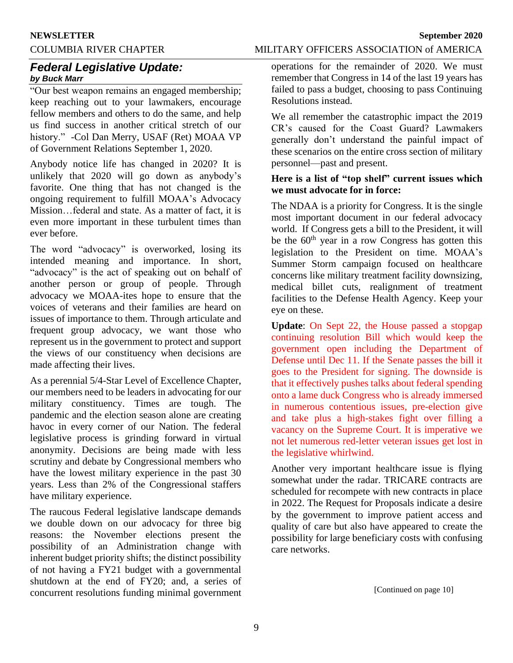#### COLUMBIA RIVER CHAPTER MILITARY OFFICERS ASSOCIATION of AMERICA

### *Federal Legislative Update: by Buck Marr*

"Our best weapon remains an engaged membership; keep reaching out to your lawmakers, encourage fellow members and others to do the same, and help us find success in another critical stretch of our history." -Col Dan Merry, USAF (Ret) MOAA VP of Government Relations September 1, 2020.

Anybody notice life has changed in 2020? It is unlikely that 2020 will go down as anybody's favorite. One thing that has not changed is the ongoing requirement to fulfill MOAA's Advocacy Mission…federal and state. As a matter of fact, it is even more important in these turbulent times than ever before.

The word "advocacy" is overworked, losing its intended meaning and importance. In short, "advocacy" is the act of speaking out on behalf of another person or group of people. Through advocacy we MOAA-ites hope to ensure that the voices of veterans and their families are heard on issues of importance to them. Through articulate and frequent group advocacy, we want those who represent us in the government to protect and support the views of our constituency when decisions are made affecting their lives.

As a perennial 5/4-Star Level of Excellence Chapter, our members need to be leaders in advocating for our military constituency. Times are tough. The pandemic and the election season alone are creating havoc in every corner of our Nation. The federal legislative process is grinding forward in virtual anonymity. Decisions are being made with less scrutiny and debate by Congressional members who have the lowest military experience in the past 30 years. Less than 2% of the Congressional staffers have military experience.

The raucous Federal legislative landscape demands we double down on our advocacy for three big reasons: the November elections present the possibility of an Administration change with inherent budget priority shifts; the distinct possibility of not having a FY21 budget with a governmental shutdown at the end of FY20; and, a series of concurrent resolutions funding minimal government operations for the remainder of 2020. We must

remember that Congress in 14 of the last 19 years has failed to pass a budget, choosing to pass Continuing Resolutions instead.

We all remember the catastrophic impact the 2019 CR's caused for the Coast Guard? Lawmakers generally don't understand the painful impact of these scenarios on the entire cross section of military personnel—past and present.

#### **Here is a list of "top shelf" current issues which we must advocate for in force:**

The NDAA is a priority for Congress. It is the single most important document in our federal advocacy world. If Congress gets a bill to the President, it will be the  $60<sup>th</sup>$  year in a row Congress has gotten this legislation to the President on time. MOAA's Summer Storm campaign focused on healthcare concerns like military treatment facility downsizing, medical billet cuts, realignment of treatment facilities to the Defense Health Agency. Keep your eye on these.

**Update**: On Sept 22, the House passed a stopgap continuing resolution Bill which would keep the government open including the Department of Defense until Dec 11. If the Senate passes the bill it goes to the President for signing. The downside is that it effectively pushes talks about federal spending onto a lame duck Congress who is already immersed in numerous contentious issues, pre-election give and take plus a high-stakes fight over filling a vacancy on the Supreme Court. It is imperative we not let numerous red-letter veteran issues get lost in the legislative whirlwind.

Another very important healthcare issue is flying somewhat under the radar. TRICARE contracts are scheduled for recompete with new contracts in place in 2022. The Request for Proposals indicate a desire by the government to improve patient access and quality of care but also have appeared to create the possibility for large beneficiary costs with confusing care networks.